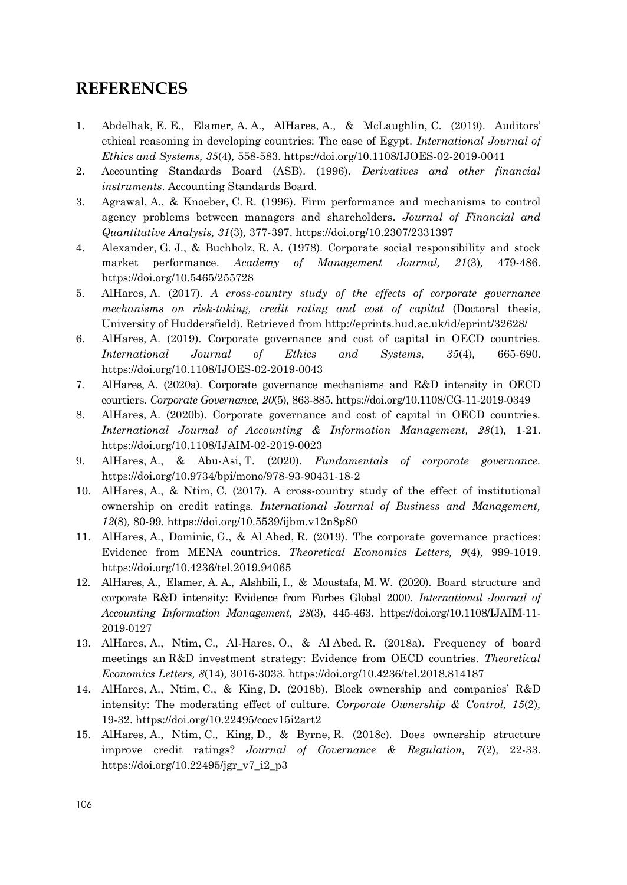## **REFERENCES**

- 1. Abdelhak, E. E., Elamer, A. A., AlHares, A., & McLaughlin, C. (2019). Auditors" ethical reasoning in developing countries: The case of Egypt. *International Journal of Ethics and Systems, 35*(4)*,* 558-583. https://doi.org/10.1108/IJOES-02-2019-0041
- 2. Accounting Standards Board (ASB). (1996). *Derivatives and other financial instruments*. Accounting Standards Board.
- 3. Agrawal, A., & Knoeber, C. R. (1996). Firm performance and mechanisms to control agency problems between managers and shareholders. *Journal of Financial and Quantitative Analysis, 31*(3)*,* 377-397. https://doi.org/10.2307/2331397
- 4. Alexander, G. J., & Buchholz, R. A. (1978). Corporate social responsibility and stock market performance. *Academy of Management Journal, 21*(3)*,* 479-486. https://doi.org/10.5465/255728
- 5. AlHares, A. (2017). *A cross-country study of the effects of corporate governance mechanisms on risk-taking, credit rating and cost of capital* (Doctoral thesis, University of Huddersfield). Retrieved from http://eprints.hud.ac.uk/id/eprint/32628/
- 6. AlHares, A. (2019). Corporate governance and cost of capital in OECD countries. *International Journal of Ethics and Systems, 35*(4)*,* 665-690. https://doi.org/10.1108/IJOES-02-2019-0043
- 7. AlHares, A. (2020a). Corporate governance mechanisms and R&D intensity in OECD courtiers. *Corporate Governance, 20*(5)*,* 863-885. https://doi.org/10.1108/CG-11-2019-0349
- 8. AlHares, A. (2020b). Corporate governance and cost of capital in OECD countries. *International Journal of Accounting & Information Management, 28*(1)*,* 1-21. https://doi.org/10.1108/IJAIM-02-2019-0023
- 9. AlHares, A., & Abu-Asi, T. (2020). *Fundamentals of corporate governance.* https://doi.org/10.9734/bpi/mono/978-93-90431-18-2
- 10. AlHares, A., & Ntim, C. (2017). A cross-country study of the effect of institutional ownership on credit ratings. *International Journal of Business and Management, 12*(8)*,* 80-99. https://doi.org/10.5539/ijbm.v12n8p80
- 11. AlHares, A., Dominic, G., & Al Abed, R. (2019). The corporate governance practices: Evidence from MENA countries. *Theoretical Economics Letters, 9*(4)*,* 999-1019. https://doi.org/10.4236/tel.2019.94065
- 12. AlHares, A., Elamer, A. A., Alshbili, I., & Moustafa, M. W. (2020). Board structure and corporate R&D intensity: Evidence from Forbes Global 2000. *International Journal of Accounting Information Management, 28*(3), 445-463. https://doi.org/10.1108/IJAIM-11- 2019-0127
- 13. AlHares, A., Ntim, C., Al-Hares, O., & Al Abed, R. (2018a). Frequency of board meetings an R&D investment strategy: Evidence from OECD countries. *Theoretical Economics Letters, 8*(14)*,* 3016-3033. https://doi.org/10.4236/tel.2018.814187
- 14. AlHares, A., Ntim, C., & King, D. (2018b). Block ownership and companies" R&D intensity: The moderating effect of culture. *Corporate Ownership & Control, 15*(2)*,* 19-32. https://doi.org/10.22495/cocv15i2art2
- 15. AlHares, A., Ntim, C., King, D., & Byrne, R. (2018c). Does ownership structure improve credit ratings? *Journal of Governance & Regulation, 7*(2)*,* 22-33. https://doi.org/10.22495/jgr\_v7\_i2\_p3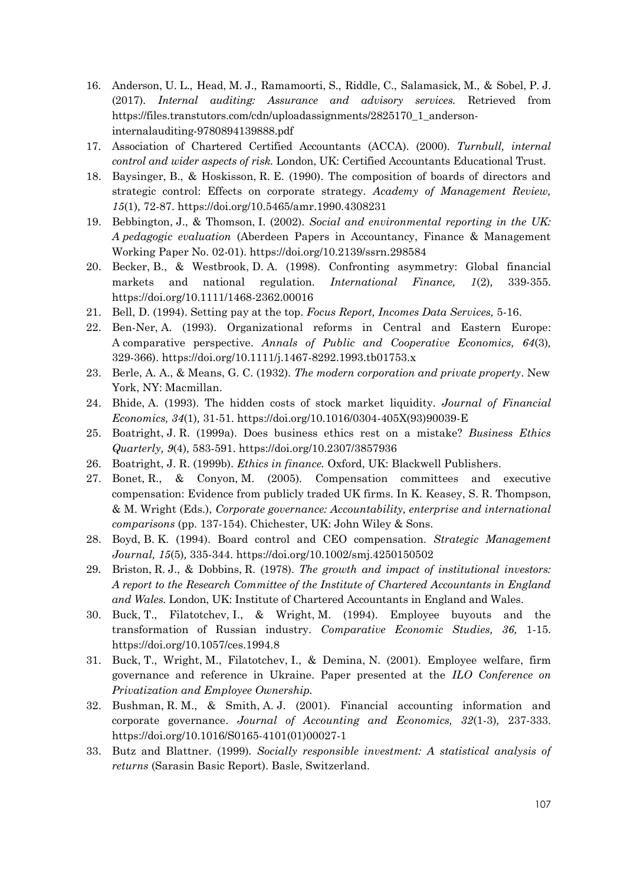- 16. Anderson, U. L., Head, M. J., Ramamoorti, S., Riddle, C., Salamasick, M., & Sobel, P. J. (2017). *Internal auditing: Assurance and advisory services.* Retrieved from https://files.transtutors.com/cdn/uploadassignments/2825170\_1\_andersoninternalauditing-9780894139888.pdf
- 17. Association of Chartered Certified Accountants (ACCA). (2000). *Turnbull, internal control and wider aspects of risk.* London, UK: Certified Accountants Educational Trust.
- 18. Baysinger, B., & Hoskisson, R. E. (1990). The composition of boards of directors and strategic control: Effects on corporate strategy. *Academy of Management Review, 15*(1)*,* 72-87. https://doi.org/10.5465/amr.1990.4308231
- 19. Bebbington, J., & Thomson, I. (2002). *Social and environmental reporting in the UK: A pedagogic evaluation* (Aberdeen Papers in Accountancy, Finance & Management Working Paper No. 02-01). https://doi.org/10.2139/ssrn.298584
- 20. Becker, B., & Westbrook, D. A. (1998). Confronting asymmetry: Global financial markets and national regulation. *International Finance, 1*(2)*,* 339-355. https://doi.org/10.1111/1468-2362.00016
- 21. Bell, D. (1994). Setting pay at the top. *Focus Report, Incomes Data Services,* 5-16.
- 22. Ben-Ner, A. (1993). Organizational reforms in Central and Eastern Europe: A comparative perspective. *Annals of Public and Cooperative Economics, 64*(3)*,* 329-366). https://doi.org/10.1111/j.1467-8292.1993.tb01753.x
- 23. Berle, A. A., & Means, G. C. (1932). *The modern corporation and private property*. New York, NY: Macmillan.
- 24. Bhide, A. (1993). The hidden costs of stock market liquidity. *Journal of Financial Economics, 34*(1)*,* 31-51. https://doi.org/10.1016/0304-405X(93)90039-E
- 25. Boatright, J. R. (1999a). Does business ethics rest on a mistake? *Business Ethics Quarterly, 9*(4)*,* 583-591. https://doi.org/10.2307/3857936
- 26. Boatright, J. R. (1999b). *Ethics in finance.* Oxford, UK: Blackwell Publishers.
- 27. Bonet, R., & Conyon, M. (2005). Compensation committees and executive compensation: Evidence from publicly traded UK firms. In K. Keasey, S. R. Thompson, & M. Wright (Eds.), *Corporate governance: Accountability, enterprise and international comparisons* (pp. 137-154). Chichester, UK: John Wiley & Sons.
- 28. Boyd, B. K. (1994). Board control and CEO compensation. *Strategic Management Journal, 15*(5)*,* 335-344. https://doi.org/10.1002/smj.4250150502
- 29. Briston, R. J., & Dobbins, R. (1978). *The growth and impact of institutional investors: A report to the Research Committee of the Institute of Chartered Accountants in England and Wales.* London, UK: Institute of Chartered Accountants in England and Wales.
- 30. Buck, T., Filatotchev, I., & Wright, M. (1994). Employee buyouts and the transformation of Russian industry. *Comparative Economic Studies, 36,* 1-15. https://doi.org/10.1057/ces.1994.8
- 31. Buck, T., Wright, M., Filatotchev, I., & Demina, N. (2001). Employee welfare, firm governance and reference in Ukraine. Paper presented at the *ILO Conference on Privatization and Employee Ownership.*
- 32. Bushman, R. M., & Smith, A. J. (2001). Financial accounting information and corporate governance. *Journal of Accounting and Economics, 32*(1-3)*,* 237-333. https://doi.org/10.1016/S0165-4101(01)00027-1
- 33. Butz and Blattner. (1999). *Socially responsible investment: A statistical analysis of returns* (Sarasin Basic Report). Basle, Switzerland.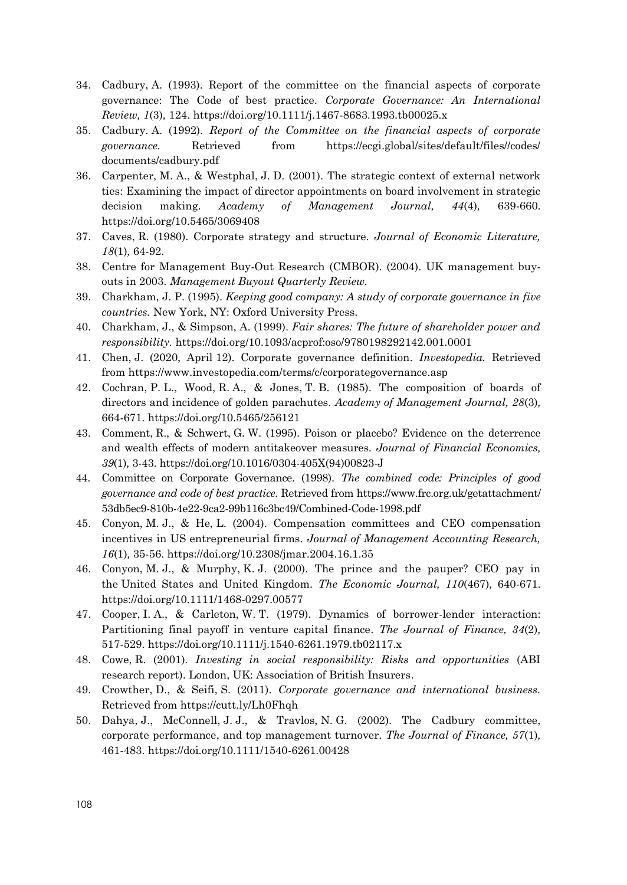- 34. Cadbury, A. (1993). Report of the committee on the financial aspects of corporate governance: The Code of best practice. *Corporate Governance: An International Review, 1*(3)*,* 124. https://doi.org/10.1111/j.1467-8683.1993.tb00025.x
- 35. Cadbury. A. (1992). *Report of the Committee on the financial aspects of corporate governance.* Retrieved from https://ecgi.global/sites/default/files//codes/ documents/cadbury.pdf
- 36. Carpenter, M. A., & Westphal, J. D. (2001). The strategic context of external network ties: Examining the impact of director appointments on board involvement in strategic decision making. *Academy of Management Journal, 44*(4)*,* 639-660. https://doi.org/10.5465/3069408
- 37. Caves, R. (1980). Corporate strategy and structure. *Journal of Economic Literature, 18*(1)*,* 64-92.
- 38. Centre for Management Buy-Out Research (CMBOR). (2004). UK management buyouts in 2003. *Management Buyout Quarterly Review.*
- 39. Charkham, J. P. (1995). *Keeping good company: A study of corporate governance in five countries.* New York, NY: Oxford University Press.
- 40. Charkham, J., & Simpson, A. (1999). *Fair shares: The future of shareholder power and responsibility.* https://doi.org/10.1093/acprof:oso/9780198292142.001.0001
- 41. Chen, J. (2020, April 12). Corporate governance definition. *Investopedia.* Retrieved from https://www.investopedia.com/terms/c/corporategovernance.asp
- 42. Cochran, P. L., Wood, R. A., & Jones, T. B. (1985). The composition of boards of directors and incidence of golden parachutes. *Academy of Management Journal, 28*(3)*,* 664-671. https://doi.org/10.5465/256121
- 43. Comment, R., & Schwert, G. W. (1995). Poison or placebo? Evidence on the deterrence and wealth effects of modern antitakeover measures. *Journal of Financial Economics, 39*(1)*,* 3-43. https://doi.org/10.1016/0304-405X(94)00823-J
- 44. Committee on Corporate Governance. (1998). *The combined code: Principles of good governance and code of best practice.* Retrieved from https://www.frc.org.uk/getattachment/ 53db5ec9-810b-4e22-9ca2-99b116c3bc49/Combined-Code-1998.pdf
- 45. Conyon, M. J., & He, L. (2004). Compensation committees and CEO compensation incentives in US entrepreneurial firms. *Journal of Management Accounting Research, 16*(1)*,* 35-56. https://doi.org/10.2308/jmar.2004.16.1.35
- 46. Conyon, M. J., & Murphy, K. J. (2000). The prince and the pauper? CEO pay in the United States and United Kingdom. *The Economic Journal, 110*(467)*,* 640-671. https://doi.org/10.1111/1468-0297.00577
- 47. Cooper, I. A., & Carleton, W. T. (1979). Dynamics of borrower-lender interaction: Partitioning final payoff in venture capital finance. *The Journal of Finance, 34*(2)*,* 517-529. https://doi.org/10.1111/j.1540-6261.1979.tb02117.x
- 48. Cowe, R. (2001). *Investing in social responsibility: Risks and opportunities* (ABI research report). London, UK: Association of British Insurers.
- 49. Crowther, D., & Seifi, S. (2011). *Corporate governance and international business.*  Retrieved from https://cutt.ly/Lh0Fhqh
- 50. Dahya, J., McConnell, J. J., & Travlos, N. G. (2002). The Cadbury committee, corporate performance, and top management turnover. *The Journal of Finance, 57*(1)*,* 461-483. https://doi.org/10.1111/1540-6261.00428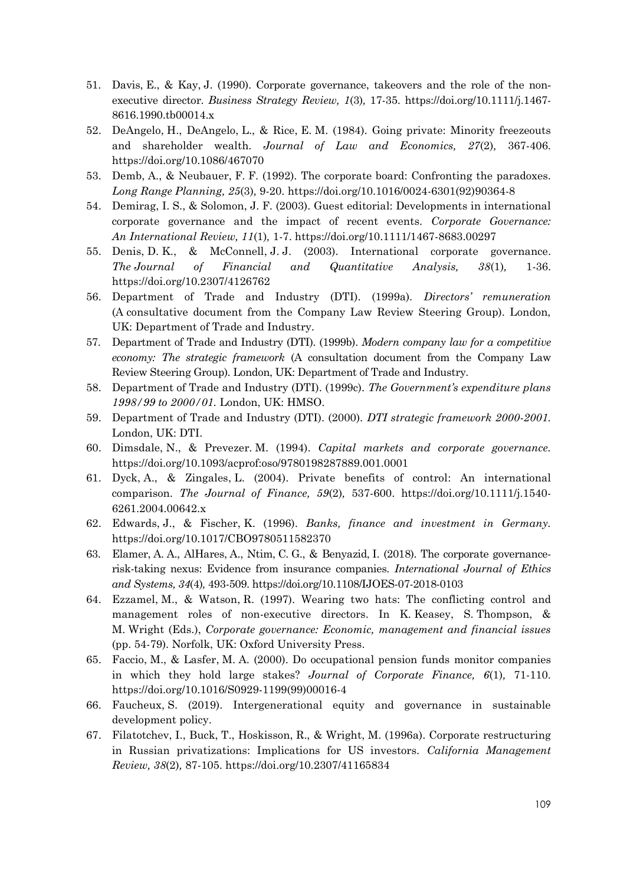- 51. Davis, E., & Kay, J. (1990). Corporate governance, takeovers and the role of the non‐ executive director. *Business Strategy Review, 1*(3)*,* 17-35. https://doi.org/10.1111/j.1467- 8616.1990.tb00014.x
- 52. DeAngelo, H., DeAngelo, L., & Rice, E. M. (1984). Going private: Minority freezeouts and shareholder wealth. *Journal of Law and Economics, 27*(2)*,* 367-406. https://doi.org/10.1086/467070
- 53. Demb, A., & Neubauer, F. F. (1992). The corporate board: Confronting the paradoxes. *Long Range Planning, 25*(3)*,* 9-20. https://doi.org/10.1016/0024-6301(92)90364-8
- 54. Demirag, I. S., & Solomon, J. F. (2003). Guest editorial: Developments in international corporate governance and the impact of recent events. *Corporate Governance: An International Review, 11*(1)*,* 1-7. https://doi.org/10.1111/1467-8683.00297
- 55. Denis, D. K., & McConnell, J. J. (2003). International corporate governance. *The Journal of Financial and Quantitative Analysis, 38*(1)*,* 1-36. https://doi.org/10.2307/4126762
- 56. Department of Trade and Industry (DTI). (1999a). *Directors' remuneration* (A consultative document from the Company Law Review Steering Group). London, UK: Department of Trade and Industry.
- 57. Department of Trade and Industry (DTI). (1999b). *Modern company law for a competitive economy: The strategic framework* (A consultation document from the Company Law Review Steering Group). London, UK: Department of Trade and Industry.
- 58. Department of Trade and Industry (DTI). (1999c). *The Government's expenditure plans 1998/99 to 2000/01.* London, UK: HMSO.
- 59. Department of Trade and Industry (DTI). (2000). *DTI strategic framework 2000-2001.* London, UK: DTI.
- 60. Dimsdale, N., & Prevezer. M. (1994). *Capital markets and corporate governance.* https://doi.org/10.1093/acprof:oso/9780198287889.001.0001
- 61. Dyck, A., & Zingales, L. (2004). Private benefits of control: An international comparison. *The Journal of Finance, 59*(2)*,* 537-600. https://doi.org/10.1111/j.1540- 6261.2004.00642.x
- 62. Edwards, J., & Fischer, K. (1996). *Banks, finance and investment in Germany.* https://doi.org/10.1017/CBO9780511582370
- 63. Elamer, A. A., AlHares, A., Ntim, C. G., & Benyazid, I. (2018). The corporate governancerisk-taking nexus: Evidence from insurance companies. *International Journal of Ethics and Systems, 34*(4)*,* 493-509. https://doi.org/10.1108/IJOES-07-2018-0103
- 64. Ezzamel, M., & Watson, R. (1997). Wearing two hats: The conflicting control and management roles of non-executive directors. In K. Keasey, S. Thompson, & M. Wright (Eds.), *Corporate governance: Economic, management and financial issues* (pp. 54-79). Norfolk, UK: Oxford University Press.
- 65. Faccio, M., & Lasfer, M. A. (2000). Do occupational pension funds monitor companies in which they hold large stakes? *Journal of Corporate Finance, 6*(1)*,* 71-110. https://doi.org/10.1016/S0929-1199(99)00016-4
- 66. Faucheux, S. (2019). Intergenerational equity and governance in sustainable development policy.
- 67. Filatotchev, I., Buck, T., Hoskisson, R., & Wright, M. (1996a). Corporate restructuring in Russian privatizations: Implications for US investors. *California Management Review, 38*(2)*,* 87-105. https://doi.org/10.2307/41165834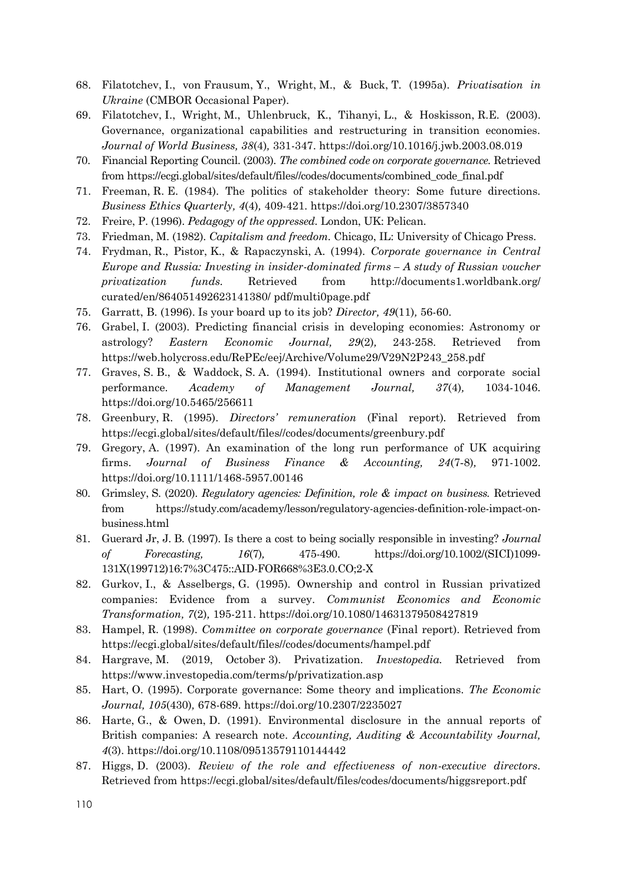- 68. Filatotchev, I., von Frausum, Y., Wright, M., & Buck, T. (1995a). *Privatisation in Ukraine* (CMBOR Occasional Paper).
- 69. Filatotchev, I., Wright, M., Uhlenbruck, K., Tihanyi, L., & Hoskisson, R.E. (2003). Governance, organizational capabilities and restructuring in transition economies. *Journal of World Business, 38*(4)*,* 331-347. https://doi.org/10.1016/j.jwb.2003.08.019
- 70. Financial Reporting Council. (2003). *The combined code on corporate governance.* Retrieved from https://ecgi.global/sites/default/files//codes/documents/combined\_code\_final.pdf
- 71. Freeman, R. E. (1984). The politics of stakeholder theory: Some future directions. *Business Ethics Quarterly, 4*(4)*,* 409-421. https://doi.org/10.2307/3857340
- 72. Freire, P. (1996). *Pedagogy of the oppressed.* London, UK: Pelican.
- 73. Friedman, M. (1982). *Capitalism and freedom.* Chicago, IL: University of Chicago Press.
- 74. Frydman, R., Pistor, K., & Rapaczynski, A. (1994). *Corporate governance in Central Europe and Russia: Investing in insider-dominated firms – A study of Russian voucher privatization funds.* Retrieved from http://documents1.worldbank.org/ curated/en/864051492623141380/ pdf/multi0page.pdf
- 75. Garratt, B. (1996). Is your board up to its job? *Director, 49*(11)*,* 56-60.
- 76. Grabel, I. (2003). Predicting financial crisis in developing economies: Astronomy or astrology? *Eastern Economic Journal, 29*(2)*,* 243-258. Retrieved from https://web.holycross.edu/RePEc/eej/Archive/Volume29/V29N2P243\_258.pdf
- 77. Graves, S. B., & Waddock, S. A. (1994). Institutional owners and corporate social performance. *Academy of Management Journal, 37*(4)*,* 1034-1046. https://doi.org/10.5465/256611
- 78. Greenbury, R. (1995). *Directors' remuneration* (Final report)*.* Retrieved from https://ecgi.global/sites/default/files//codes/documents/greenbury.pdf
- 79. Gregory, A. (1997). An examination of the long run performance of UK acquiring firms. *Journal of Business Finance & Accounting, 24*(7‐8)*,* 971-1002. https://doi.org/10.1111/1468-5957.00146
- 80. Grimsley, S. (2020). *Regulatory agencies: Definition, role & impact on business.* Retrieved from https://study.com/academy/lesson/regulatory-agencies-definition-role-impact-onbusiness.html
- 81. Guerard Jr, J. B. (1997). Is there a cost to being socially responsible in investing? *Journal of Forecasting, 16*(7)*,* 475-490. https://doi.org/10.1002/(SICI)1099- 131X(199712)16:7%3C475::AID-FOR668%3E3.0.CO;2-X
- 82. Gurkov, I., & Asselbergs, G. (1995). Ownership and control in Russian privatized companies: Evidence from a survey. *Communist Economics and Economic Transformation, 7*(2)*,* 195-211. https://doi.org/10.1080/14631379508427819
- 83. Hampel, R. (1998). *Committee on corporate governance* (Final report). Retrieved from https://ecgi.global/sites/default/files//codes/documents/hampel.pdf
- 84. Hargrave, M. (2019, October 3). Privatization. *Investopedia.* Retrieved from https://www.investopedia.com/terms/p/privatization.asp
- 85. Hart, O. (1995). Corporate governance: Some theory and implications. *The Economic Journal, 105*(430)*,* 678-689. https://doi.org/10.2307/2235027
- 86. Harte, G., & Owen, D. (1991). Environmental disclosure in the annual reports of British companies: A research note. *Accounting, Auditing & Accountability Journal, 4*(3). https://doi.org/10.1108/09513579110144442
- 87. Higgs, D. (2003). *Review of the role and effectiveness of non-executive directors*. Retrieved from https://ecgi.global/sites/default/files/codes/documents/higgsreport.pdf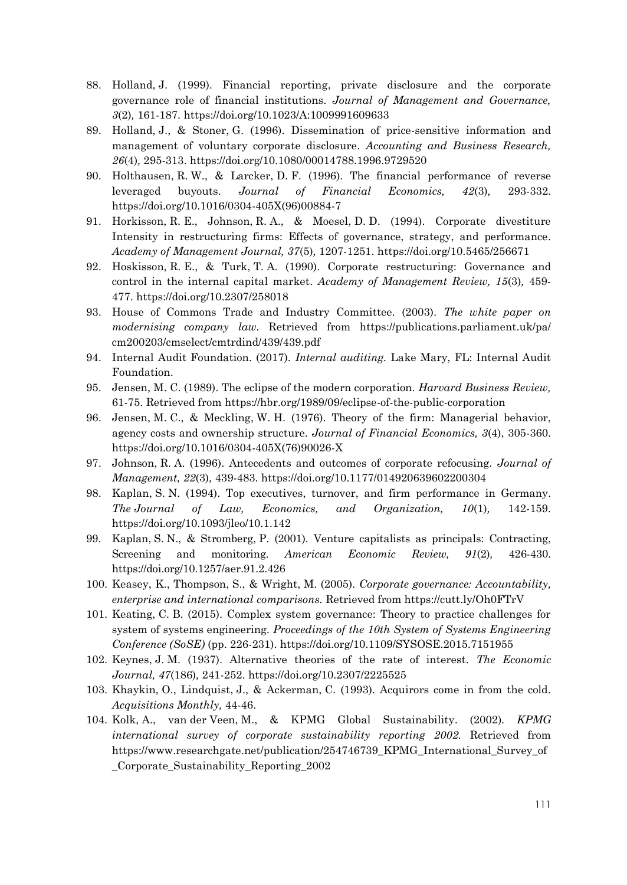- 88. Holland, J. (1999). Financial reporting, private disclosure and the corporate governance role of financial institutions. *Journal of Management and Governance, 3*(2)*,* 161-187. https://doi.org/10.1023/A:1009991609633
- 89. Holland, J., & Stoner, G. (1996). Dissemination of price-sensitive information and management of voluntary corporate disclosure. *Accounting and Business Research, 26*(4)*,* 295-313. https://doi.org/10.1080/00014788.1996.9729520
- 90. Holthausen, R. W., & Larcker, D. F. (1996). The financial performance of reverse leveraged buyouts. *Journal of Financial Economics, 42*(3)*,* 293-332. https://doi.org/10.1016/0304-405X(96)00884-7
- 91. Horkisson, R. E., Johnson, R. A., & Moesel, D. D. (1994). Corporate divestiture Intensity in restructuring firms: Effects of governance, strategy, and performance. *Academy of Management Journal, 37*(5)*,* 1207-1251. https://doi.org/10.5465/256671
- 92. Hoskisson, R. E., & Turk, T. A. (1990). Corporate restructuring: Governance and control in the internal capital market. *Academy of Management Review, 15*(3)*,* 459- 477. https://doi.org/10.2307/258018
- 93. House of Commons Trade and Industry Committee. (2003). *The white paper on modernising company law.* Retrieved from https://publications.parliament.uk/pa/ cm200203/cmselect/cmtrdind/439/439.pdf
- 94. Internal Audit Foundation. (2017). *Internal auditing.* Lake Mary, FL: Internal Audit Foundation.
- 95. Jensen, M. C. (1989). The eclipse of the modern corporation. *Harvard Business Review,* 61-75. Retrieved from https://hbr.org/1989/09/eclipse-of-the-public-corporation
- 96. Jensen, M. C., & Meckling, W. H. (1976). Theory of the firm: Managerial behavior, agency costs and ownership structure. *Journal of Financial Economics, 3*(4), 305-360. https://doi.org/10.1016/0304-405X(76)90026-X
- 97. Johnson, R. A. (1996). Antecedents and outcomes of corporate refocusing. *Journal of Management, 22*(3)*,* 439-483. https://doi.org/10.1177/014920639602200304
- 98. Kaplan, S. N. (1994). Top executives, turnover, and firm performance in Germany. *The Journal of Law, Economics, and Organization, 10*(1)*,* 142-159. https://doi.org/10.1093/jleo/10.1.142
- 99. Kaplan, S. N., & Stromberg, P. (2001). Venture capitalists as principals: Contracting, Screening and monitoring. *American Economic Review, 91*(2)*,* 426-430. https://doi.org/10.1257/aer.91.2.426
- 100. Keasey, K., Thompson, S., & Wright, M. (2005). *Corporate governance: Accountability, enterprise and international comparisons.* Retrieved from https://cutt.ly/Oh0FTrV
- 101. Keating, C. B. (2015). Complex system governance: Theory to practice challenges for system of systems engineering. *Proceedings of the 10th System of Systems Engineering Conference (SoSE)* (pp. 226-231). https://doi.org/10.1109/SYSOSE.2015.7151955
- 102. Keynes, J. M. (1937). Alternative theories of the rate of interest. *The Economic Journal, 47*(186)*,* 241-252. https://doi.org/10.2307/2225525
- 103. Khaykin, O., Lindquist, J., & Ackerman, C. (1993). Acquirors come in from the cold. *Acquisitions Monthly,* 44-46.
- 104. Kolk, A., van der Veen, M., & KPMG Global Sustainability. (2002). *KPMG international survey of corporate sustainability reporting 2002.* Retrieved from https://www.researchgate.net/publication/254746739\_KPMG\_International\_Survey\_of \_Corporate\_Sustainability\_Reporting\_2002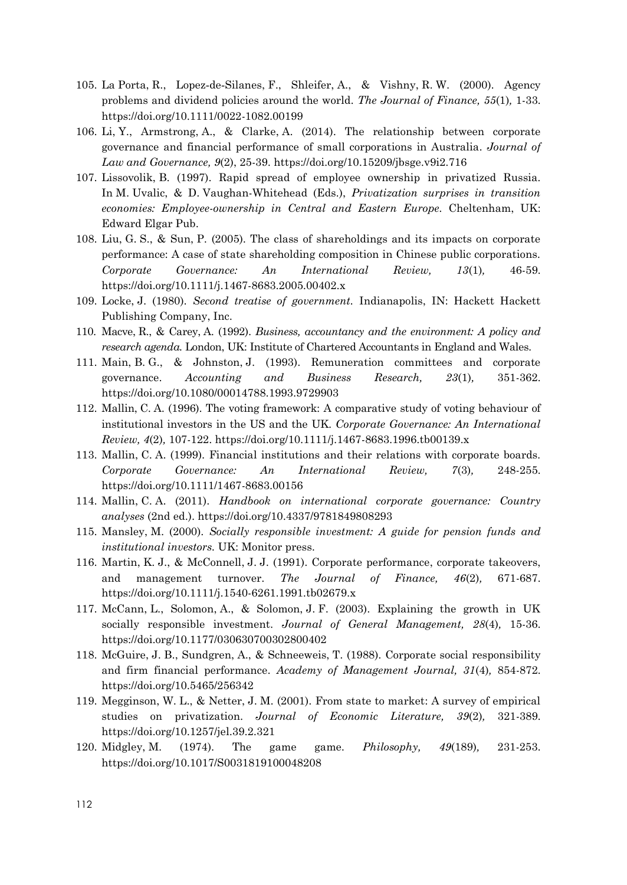- 105. La Porta, R., Lopez‐de‐Silanes, F., Shleifer, A., & Vishny, R. W. (2000). Agency problems and dividend policies around the world. *The Journal of Finance, 55*(1)*,* 1-33. https://doi.org/10.1111/0022-1082.00199
- 106. Li, Y., Armstrong, A., & Clarke, A. (2014). The relationship between corporate governance and financial performance of small corporations in Australia. *Journal of Law and Governance, 9*(2), 25-39. https://doi.org/10.15209/jbsge.v9i2.716
- 107. Lissovolik, B. (1997). Rapid spread of employee ownership in privatized Russia. In M. Uvalic, & D. Vaughan-Whitehead (Eds.), *Privatization surprises in transition economies: Employee-ownership in Central and Eastern Europe.* Cheltenham, UK: Edward Elgar Pub.
- 108. Liu, G. S., & Sun, P. (2005). The class of shareholdings and its impacts on corporate performance: A case of state shareholding composition in Chinese public corporations. *Corporate Governance: An International Review, 13*(1)*,* 46-59. https://doi.org/10.1111/j.1467-8683.2005.00402.x
- 109. Locke, J. (1980). *Second treatise of government.* Indianapolis, IN: Hackett Hackett Publishing Company, Inc.
- 110. Macve, R., & Carey, A. (1992). *Business, accountancy and the environment: A policy and research agenda.* London, UK: Institute of Chartered Accountants in England and Wales.
- 111. Main, B. G., & Johnston, J. (1993). Remuneration committees and corporate governance. *Accounting and Business Research, 23*(1)*,* 351-362. https://doi.org/10.1080/00014788.1993.9729903
- 112. Mallin, C. A. (1996). The voting framework: A comparative study of voting behaviour of institutional investors in the US and the UK. *Corporate Governance: An International Review, 4*(2)*,* 107-122. https://doi.org/10.1111/j.1467-8683.1996.tb00139.x
- 113. Mallin, C. A. (1999). Financial institutions and their relations with corporate boards. *Corporate Governance: An International Review, 7*(3)*,* 248-255. https://doi.org/10.1111/1467-8683.00156
- 114. Mallin, C. A. (2011). *Handbook on international corporate governance: Country analyses* (2nd ed.). https://doi.org/10.4337/9781849808293
- 115. Mansley, M. (2000). *Socially responsible investment: A guide for pension funds and institutional investors.* UK: Monitor press.
- 116. Martin, K. J., & McConnell, J. J. (1991). Corporate performance, corporate takeovers, and management turnover. *The Journal of Finance, 46*(2)*,* 671-687. https://doi.org/10.1111/j.1540-6261.1991.tb02679.x
- 117. McCann, L., Solomon, A., & Solomon, J. F. (2003). Explaining the growth in UK socially responsible investment. *Journal of General Management, 28*(4)*,* 15-36. https://doi.org/10.1177/030630700302800402
- 118. McGuire, J. B., Sundgren, A., & Schneeweis, T. (1988). Corporate social responsibility and firm financial performance. *Academy of Management Journal, 31*(4)*,* 854-872. https://doi.org/10.5465/256342
- 119. Megginson, W. L., & Netter, J. M. (2001). From state to market: A survey of empirical studies on privatization. *Journal of Economic Literature, 39*(2)*,* 321-389. https://doi.org/10.1257/jel.39.2.321
- 120. Midgley, M. (1974). The game game. *Philosophy, 49*(189)*,* 231-253. https://doi.org/10.1017/S0031819100048208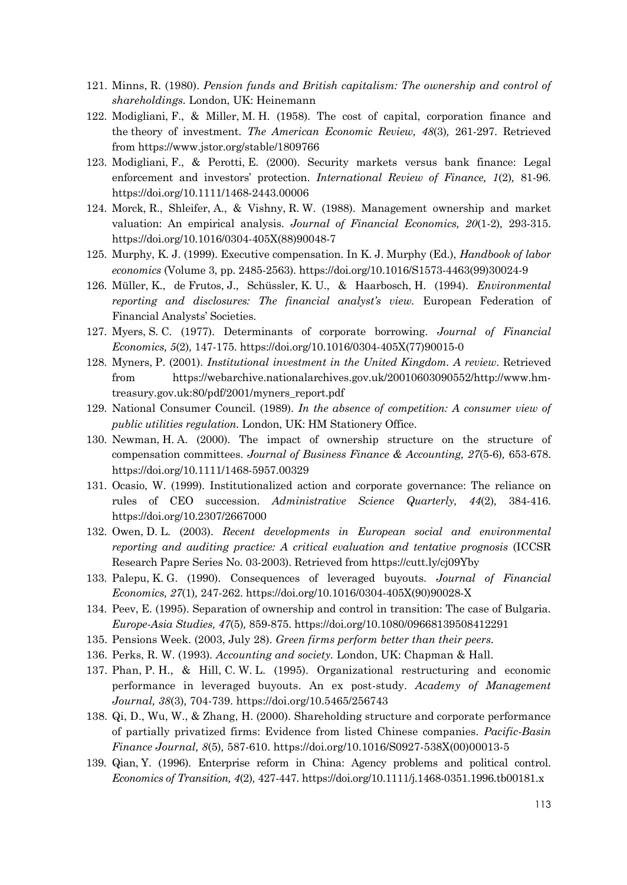- 121. Minns, R. (1980). *Pension funds and British capitalism: The ownership and control of shareholdings.* London, UK: Heinemann
- 122. Modigliani, F., & Miller, M. H. (1958). The cost of capital, corporation finance and the theory of investment. *The American Economic Review, 48*(3)*,* 261-297. Retrieved from https://www.jstor.org/stable/1809766
- 123. Modigliani, F., & Perotti, E. (2000). Security markets versus bank finance: Legal enforcement and investors" protection. *International Review of Finance, 1*(2)*,* 81-96. https://doi.org/10.1111/1468-2443.00006
- 124. Morck, R., Shleifer, A., & Vishny, R. W. (1988). Management ownership and market valuation: An empirical analysis. *Journal of Financial Economics, 20*(1-2)*,* 293-315. https://doi.org/10.1016/0304-405X(88)90048-7
- 125. Murphy, K. J. (1999). Executive compensation. In K. J. Murphy (Ed.), *Handbook of labor economics* (Volume 3, pp. 2485-2563). https://doi.org/10.1016/S1573-4463(99)30024-9
- 126. Müller, K., de Frutos, J., Schüssler, K. U., & Haarbosch, H. (1994). *Environmental reporting and disclosures: The financial analyst's view.* European Federation of Financial Analysts" Societies.
- 127. Myers, S. C. (1977). Determinants of corporate borrowing. *Journal of Financial Economics, 5*(2)*,* 147-175. https://doi.org/10.1016/0304-405X(77)90015-0
- 128. Myners, P. (2001). *Institutional investment in the United Kingdom. A review*. Retrieved from https://webarchive.nationalarchives.gov.uk/20010603090552/http://www.hmtreasury.gov.uk:80/pdf/2001/myners\_report.pdf
- 129. National Consumer Council. (1989). *In the absence of competition: A consumer view of public utilities regulation.* London, UK: HM Stationery Office.
- 130. Newman, H. A. (2000). The impact of ownership structure on the structure of compensation committees. *Journal of Business Finance & Accounting, 27*(5‐6)*,* 653-678. https://doi.org/10.1111/1468-5957.00329
- 131. Ocasio, W. (1999). Institutionalized action and corporate governance: The reliance on rules of CEO succession. *Administrative Science Quarterly, 44*(2)*,* 384-416. https://doi.org/10.2307/2667000
- 132. Owen, D. L. (2003). *Recent developments in European social and environmental reporting and auditing practice: A critical evaluation and tentative prognosis* (ICCSR Research Papre Series No. 03-2003). Retrieved from https://cutt.ly/cj09Yby
- 133. Palepu, K. G. (1990). Consequences of leveraged buyouts. *Journal of Financial Economics, 27*(1)*,* 247-262. https://doi.org/10.1016/0304-405X(90)90028-X
- 134. Peev, E. (1995). Separation of ownership and control in transition: The case of Bulgaria. *Europe-Asia Studies, 47*(5)*,* 859-875. https://doi.org/10.1080/09668139508412291
- 135. Pensions Week. (2003, July 28). *Green firms perform better than their peers.*
- 136. Perks, R. W. (1993). *Accounting and society.* London, UK: Chapman & Hall.
- 137. Phan, P. H., & Hill, C. W. L. (1995). Organizational restructuring and economic performance in leveraged buyouts. An ex post-study. *Academy of Management Journal, 38*(3)*,* 704-739. https://doi.org/10.5465/256743
- 138. Qi, D., Wu, W., & Zhang, H. (2000). Shareholding structure and corporate performance of partially privatized firms: Evidence from listed Chinese companies. *Pacific-Basin Finance Journal, 8*(5)*,* 587-610. https://doi.org/10.1016/S0927-538X(00)00013-5
- 139. Qian, Y. (1996). Enterprise reform in China: Agency problems and political control. *Economics of Transition, 4*(2)*,* 427-447. https://doi.org/10.1111/j.1468-0351.1996.tb00181.x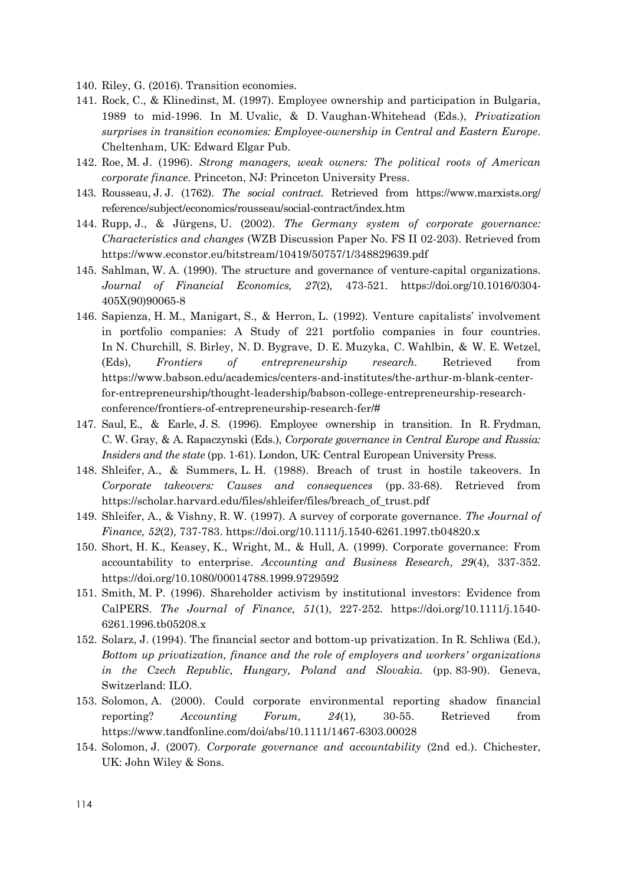- 140. Riley, G. (2016). Transition economies.
- 141. Rock, C., & Klinedinst, M. (1997). Employee ownership and participation in Bulgaria, 1989 to mid-1996. In M. Uvalic, & D. Vaughan-Whitehead (Eds.), *Privatization surprises in transition economies: Employee-ownership in Central and Eastern Europe*. Cheltenham, UK: Edward Elgar Pub.
- 142. Roe, M. J. (1996). *Strong managers, weak owners: The political roots of American corporate finance.* Princeton, NJ: Princeton University Press.
- 143. Rousseau, J. J. (1762). *The social contract.* Retrieved from https://www.marxists.org/ reference/subject/economics/rousseau/social-contract/index.htm
- 144. Rupp, J., & Jürgens, U. (2002). *The Germany system of corporate governance: Characteristics and changes* (WZB Discussion Paper No. FS II 02-203). Retrieved from https://www.econstor.eu/bitstream/10419/50757/1/348829639.pdf
- 145. Sahlman, W. A. (1990). The structure and governance of venture-capital organizations. *Journal of Financial Economics, 27*(2)*,* 473-521. https://doi.org/10.1016/0304- 405X(90)90065-8
- 146. Sapienza, H. M., Manigart, S., & Herron, L. (1992). Venture capitalists" involvement in portfolio companies: A Study of 221 portfolio companies in four countries. In N. Churchill, S. Birley, N. D. Bygrave, D. E. Muzyka, C. Wahlbin, & W. E. Wetzel, (Eds), *Frontiers of entrepreneurship research.* Retrieved from https://www.babson.edu/academics/centers-and-institutes/the-arthur-m-blank-centerfor-entrepreneurship/thought-leadership/babson-college-entrepreneurship-researchconference/frontiers-of-entrepreneurship-research-fer/#
- 147. Saul, E., & Earle, J. S. (1996). Employee ownership in transition. In R. Frydman, C. W. Gray, & A. Rapaczynski (Eds.), *Corporate governance in Central Europe and Russia: Insiders and the state* (pp. 1-61). London, UK: Central European University Press.
- 148. Shleifer, A., & Summers, L. H. (1988). Breach of trust in hostile takeovers. In *Corporate takeovers: Causes and consequences* (pp. 33-68). Retrieved from https://scholar.harvard.edu/files/shleifer/files/breach\_of\_trust.pdf
- 149. Shleifer, A., & Vishny, R. W. (1997). A survey of corporate governance. *The Journal of Finance, 52*(2)*,* 737-783. https://doi.org/10.1111/j.1540-6261.1997.tb04820.x
- 150. Short, H. K., Keasey, K., Wright, M., & Hull, A. (1999). Corporate governance: From accountability to enterprise. *Accounting and Business Research, 29*(4)*,* 337-352. https://doi.org/10.1080/00014788.1999.9729592
- 151. Smith, M. P. (1996). Shareholder activism by institutional investors: Evidence from CalPERS. *The Journal of Finance, 51*(1)*,* 227-252. https://doi.org/10.1111/j.1540- 6261.1996.tb05208.x
- 152. Solarz, J. (1994). The financial sector and bottom-up privatization. In R. Schliwa (Ed.), *Bottom up privatization, finance and the role of employers and workers' organizations in the Czech Republic, Hungary, Poland and Slovakia.* (pp. 83-90). Geneva, Switzerland: ILO.
- 153. Solomon, A. (2000). Could corporate environmental reporting shadow financial reporting? *Accounting Forum, 24*(1)*,* 30-55. Retrieved from https://www.tandfonline.com/doi/abs/10.1111/1467-6303.00028
- 154. Solomon, J. (2007). *Corporate governance and accountability* (2nd ed.). Chichester, UK: John Wiley & Sons.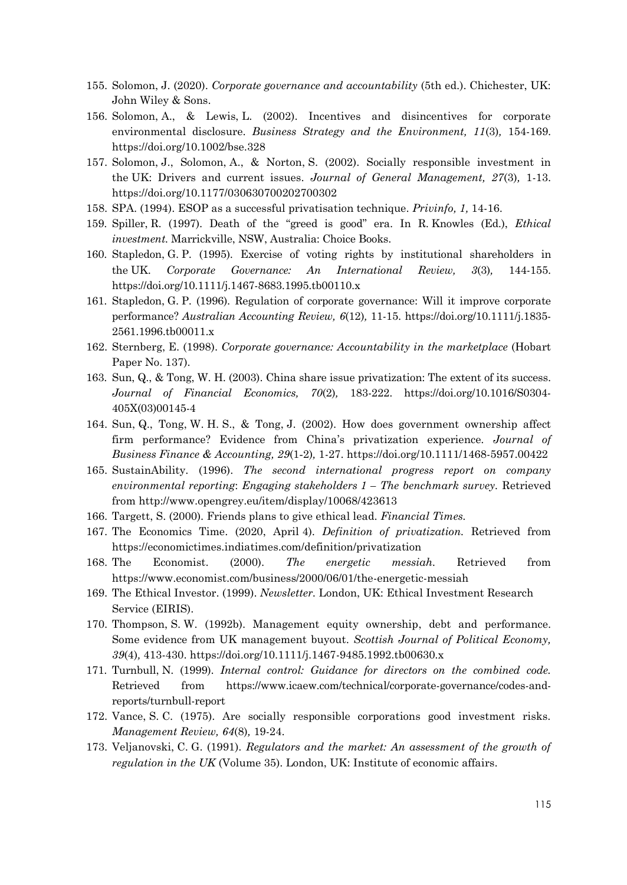- 155. Solomon, J. (2020). *Corporate governance and accountability* (5th ed.). Chichester, UK: John Wiley & Sons.
- 156. Solomon, A., & Lewis, L. (2002). Incentives and disincentives for corporate environmental disclosure. *Business Strategy and the Environment, 11*(3)*,* 154-169. https://doi.org/10.1002/bse.328
- 157. Solomon, J., Solomon, A., & Norton, S. (2002). Socially responsible investment in the UK: Drivers and current issues. *Journal of General Management, 27*(3)*,* 1-13. https://doi.org/10.1177/030630700202700302
- 158. SPA. (1994). ESOP as a successful privatisation technique. *Privinfo, 1,* 14-16.
- 159. Spiller, R. (1997). Death of the "greed is good" era. In R. Knowles (Ed.), *Ethical investment.* Marrickville, NSW, Australia: Choice Books.
- 160. Stapledon, G. P. (1995). Exercise of voting rights by institutional shareholders in the UK. *Corporate Governance: An International Review, 3*(3)*,* 144-155. https://doi.org/10.1111/j.1467-8683.1995.tb00110.x
- 161. Stapledon, G. P. (1996). Regulation of corporate governance: Will it improve corporate performance? *Australian Accounting Review, 6*(12)*,* 11-15. https://doi.org/10.1111/j.1835- 2561.1996.tb00011.x
- 162. Sternberg, E. (1998). *Corporate governance: Accountability in the marketplace* (Hobart Paper No. 137).
- 163. Sun, Q., & Tong, W. H. (2003). China share issue privatization: The extent of its success. *Journal of Financial Economics, 70*(2)*,* 183-222. https://doi.org/10.1016/S0304- 405X(03)00145-4
- 164. Sun, Q., Tong, W. H. S., & Tong, J. (2002). How does government ownership affect firm performance? Evidence from China"s privatization experience. *Journal of Business Finance & Accounting, 29*(1‐2)*,* 1-27. https://doi.org/10.1111/1468-5957.00422
- 165. SustainAbility. (1996). *The second international progress report on company environmental reporting*: *Engaging stakeholders 1 – The benchmark survey.* Retrieved from http://www.opengrey.eu/item/display/10068/423613
- 166. Targett, S. (2000). Friends plans to give ethical lead. *Financial Times.*
- 167. The Economics Time. (2020, April 4). *Definition of privatization.* Retrieved from https://economictimes.indiatimes.com/definition/privatization
- 168. The Economist. (2000). *The energetic messiah.* Retrieved from https://www.economist.com/business/2000/06/01/the-energetic-messiah
- 169. The Ethical Investor. (1999). *Newsletter.* London, UK: Ethical Investment Research Service (EIRIS).
- 170. Thompson, S. W. (1992b). Management equity ownership, debt and performance. Some evidence from UK management buyout. *Scottish Journal of Political Economy, 39*(4)*,* 413-430. https://doi.org/10.1111/j.1467-9485.1992.tb00630.x
- 171. Turnbull, N. (1999). *Internal control: Guidance for directors on the combined code.* Retrieved from https://www.icaew.com/technical/corporate-governance/codes-andreports/turnbull-report
- 172. Vance, S. C. (1975). Are socially responsible corporations good investment risks. *Management Review, 64*(8)*,* 19-24.
- 173. Veljanovski, C. G. (1991). *Regulators and the market: An assessment of the growth of regulation in the UK* (Volume 35). London, UK: Institute of economic affairs.